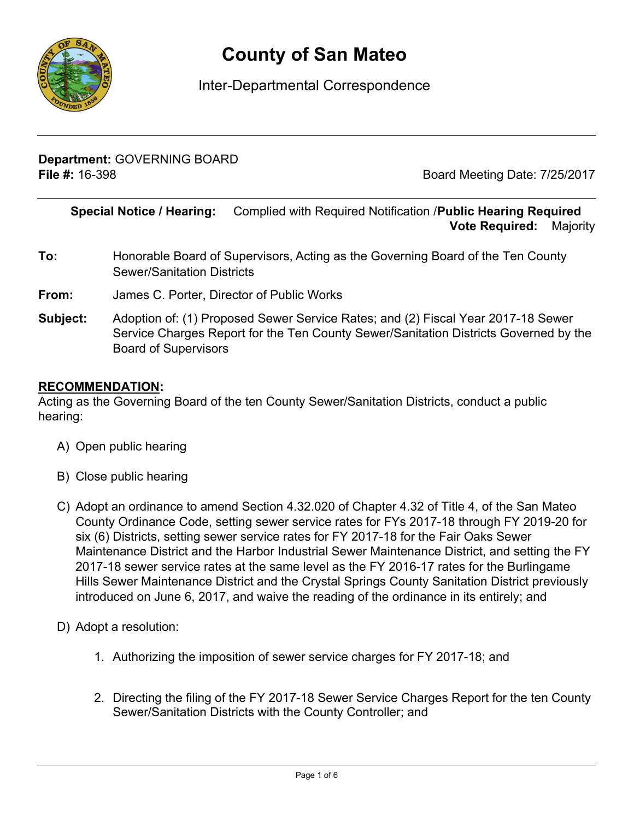

# **County of San Mateo**

# Inter-Departmental Correspondence

**Department:** GOVERNING BOARD **File #:** 16-398 **Board Meeting Date: 7/25/2017** 

**Special Notice / Hearing:** Complied with Required Notification /**Public Hearing Required**\_\_ **Vote Required:** Majority

- **To:** Honorable Board of Supervisors, Acting as the Governing Board of the Ten County Sewer/Sanitation Districts
- **From:** James C. Porter, Director of Public Works
- **Subject:** Adoption of: (1) Proposed Sewer Service Rates; and (2) Fiscal Year 2017-18 Sewer Service Charges Report for the Ten County Sewer/Sanitation Districts Governed by the Board of Supervisors

#### **RECOMMENDATION:**

Acting as the Governing Board of the ten County Sewer/Sanitation Districts, conduct a public hearing:

- A) Open public hearing
- B) Close public hearing
- C) Adopt an ordinance to amend Section 4.32.020 of Chapter 4.32 of Title 4, of the San Mateo County Ordinance Code, setting sewer service rates for FYs 2017-18 through FY 2019-20 for six (6) Districts, setting sewer service rates for FY 2017-18 for the Fair Oaks Sewer Maintenance District and the Harbor Industrial Sewer Maintenance District, and setting the FY 2017-18 sewer service rates at the same level as the FY 2016-17 rates for the Burlingame Hills Sewer Maintenance District and the Crystal Springs County Sanitation District previously introduced on June 6, 2017, and waive the reading of the ordinance in its entirely; and
- D) Adopt a resolution:
	- 1. Authorizing the imposition of sewer service charges for FY 2017-18; and
	- 2. Directing the filing of the FY 2017-18 Sewer Service Charges Report for the ten County Sewer/Sanitation Districts with the County Controller; and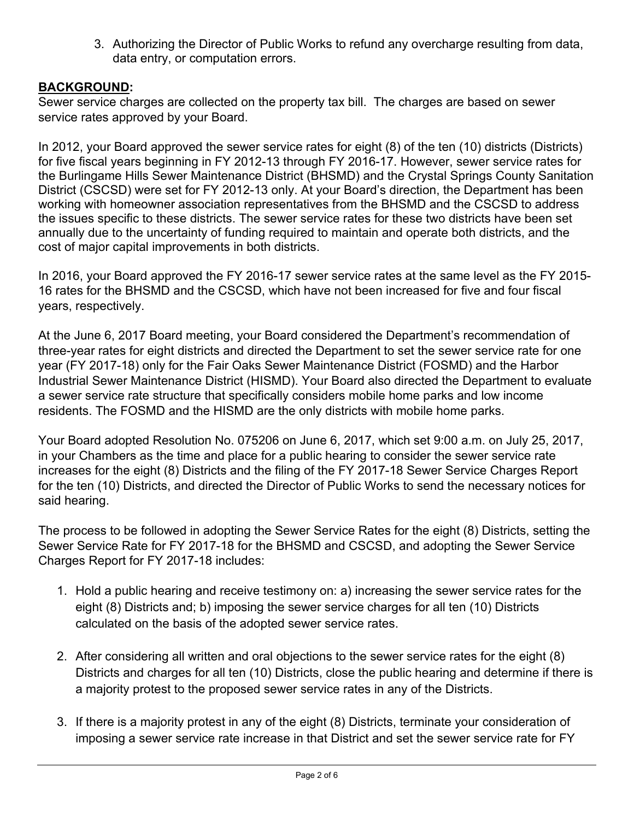3. Authorizing the Director of Public Works to refund any overcharge resulting from data, data entry, or computation errors.

# **BACKGROUND:**

Sewer service charges are collected on the property tax bill. The charges are based on sewer service rates approved by your Board.

In 2012, your Board approved the sewer service rates for eight (8) of the ten (10) districts (Districts) for five fiscal years beginning in FY 2012-13 through FY 2016-17. However, sewer service rates for the Burlingame Hills Sewer Maintenance District (BHSMD) and the Crystal Springs County Sanitation District (CSCSD) were set for FY 2012-13 only. At your Board's direction, the Department has been working with homeowner association representatives from the BHSMD and the CSCSD to address the issues specific to these districts. The sewer service rates for these two districts have been set annually due to the uncertainty of funding required to maintain and operate both districts, and the cost of major capital improvements in both districts.

In 2016, your Board approved the FY 2016-17 sewer service rates at the same level as the FY 2015- 16 rates for the BHSMD and the CSCSD, which have not been increased for five and four fiscal years, respectively.

At the June 6, 2017 Board meeting, your Board considered the Department's recommendation of three-year rates for eight districts and directed the Department to set the sewer service rate for one year (FY 2017-18) only for the Fair Oaks Sewer Maintenance District (FOSMD) and the Harbor Industrial Sewer Maintenance District (HISMD). Your Board also directed the Department to evaluate a sewer service rate structure that specifically considers mobile home parks and low income residents. The FOSMD and the HISMD are the only districts with mobile home parks.

Your Board adopted Resolution No. 075206 on June 6, 2017, which set 9:00 a.m. on July 25, 2017, in your Chambers as the time and place for a public hearing to consider the sewer service rate increases for the eight (8) Districts and the filing of the FY 2017-18 Sewer Service Charges Report for the ten (10) Districts, and directed the Director of Public Works to send the necessary notices for said hearing.

The process to be followed in adopting the Sewer Service Rates for the eight (8) Districts, setting the Sewer Service Rate for FY 2017-18 for the BHSMD and CSCSD, and adopting the Sewer Service Charges Report for FY 2017-18 includes:

- 1. Hold a public hearing and receive testimony on: a) increasing the sewer service rates for the eight (8) Districts and; b) imposing the sewer service charges for all ten (10) Districts calculated on the basis of the adopted sewer service rates.
- 2. After considering all written and oral objections to the sewer service rates for the eight (8) Districts and charges for all ten (10) Districts, close the public hearing and determine if there is a majority protest to the proposed sewer service rates in any of the Districts.
- 3. If there is a majority protest in any of the eight (8) Districts, terminate your consideration of imposing a sewer service rate increase in that District and set the sewer service rate for FY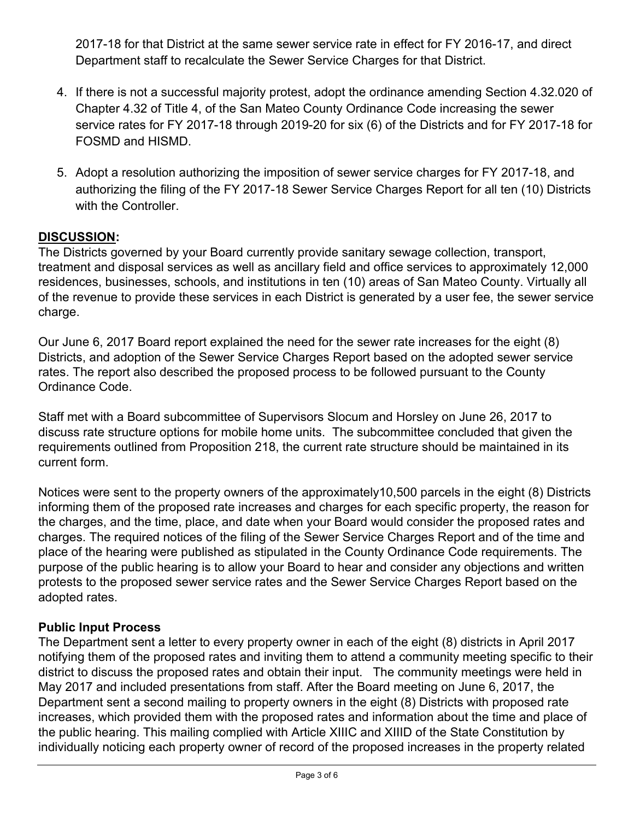2017-18 for that District at the same sewer service rate in effect for FY 2016-17, and direct Department staff to recalculate the Sewer Service Charges for that District.

- 4. If there is not a successful majority protest, adopt the ordinance amending Section 4.32.020 of Chapter 4.32 of Title 4, of the San Mateo County Ordinance Code increasing the sewer service rates for FY 2017-18 through 2019-20 for six (6) of the Districts and for FY 2017-18 for FOSMD and HISMD.
- 5. Adopt a resolution authorizing the imposition of sewer service charges for FY 2017-18, and authorizing the filing of the FY 2017-18 Sewer Service Charges Report for all ten (10) Districts with the Controller.

# **DISCUSSION:**

The Districts governed by your Board currently provide sanitary sewage collection, transport, treatment and disposal services as well as ancillary field and office services to approximately 12,000 residences, businesses, schools, and institutions in ten (10) areas of San Mateo County. Virtually all of the revenue to provide these services in each District is generated by a user fee, the sewer service charge.

Our June 6, 2017 Board report explained the need for the sewer rate increases for the eight (8) Districts, and adoption of the Sewer Service Charges Report based on the adopted sewer service rates. The report also described the proposed process to be followed pursuant to the County Ordinance Code.

Staff met with a Board subcommittee of Supervisors Slocum and Horsley on June 26, 2017 to discuss rate structure options for mobile home units. The subcommittee concluded that given the requirements outlined from Proposition 218, the current rate structure should be maintained in its current form.

Notices were sent to the property owners of the approximately10,500 parcels in the eight (8) Districts informing them of the proposed rate increases and charges for each specific property, the reason for the charges, and the time, place, and date when your Board would consider the proposed rates and charges. The required notices of the filing of the Sewer Service Charges Report and of the time and place of the hearing were published as stipulated in the County Ordinance Code requirements. The purpose of the public hearing is to allow your Board to hear and consider any objections and written protests to the proposed sewer service rates and the Sewer Service Charges Report based on the adopted rates.

## **Public Input Process**

The Department sent a letter to every property owner in each of the eight (8) districts in April 2017 notifying them of the proposed rates and inviting them to attend a community meeting specific to their district to discuss the proposed rates and obtain their input. The community meetings were held in May 2017 and included presentations from staff. After the Board meeting on June 6, 2017, the Department sent a second mailing to property owners in the eight (8) Districts with proposed rate increases, which provided them with the proposed rates and information about the time and place of the public hearing. This mailing complied with Article XIIIC and XIIID of the State Constitution by individually noticing each property owner of record of the proposed increases in the property related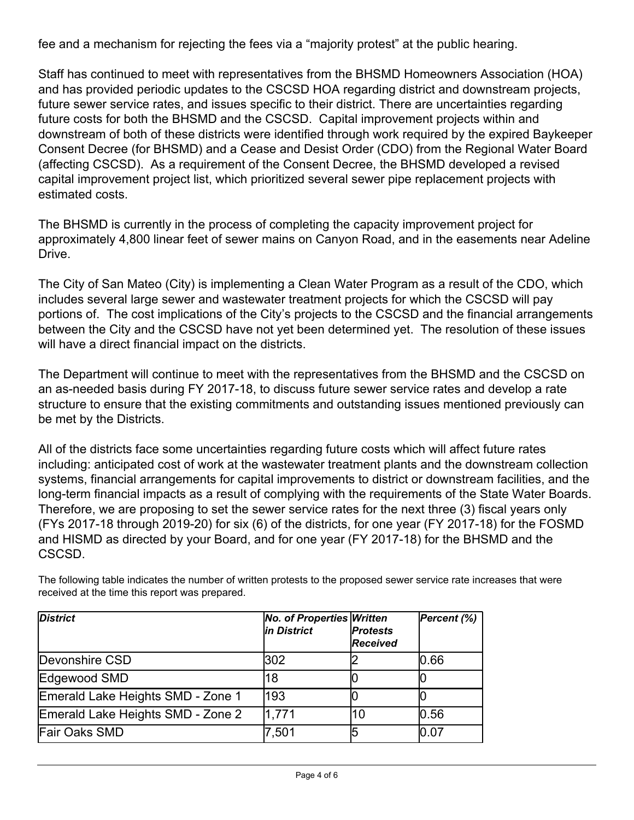fee and a mechanism for rejecting the fees via a "majority protest" at the public hearing.

Staff has continued to meet with representatives from the BHSMD Homeowners Association (HOA) and has provided periodic updates to the CSCSD HOA regarding district and downstream projects, future sewer service rates, and issues specific to their district. There are uncertainties regarding future costs for both the BHSMD and the CSCSD. Capital improvement projects within and downstream of both of these districts were identified through work required by the expired Baykeeper Consent Decree (for BHSMD) and a Cease and Desist Order (CDO) from the Regional Water Board (affecting CSCSD). As a requirement of the Consent Decree, the BHSMD developed a revised capital improvement project list, which prioritized several sewer pipe replacement projects with estimated costs.

The BHSMD is currently in the process of completing the capacity improvement project for approximately 4,800 linear feet of sewer mains on Canyon Road, and in the easements near Adeline Drive.

The City of San Mateo (City) is implementing a Clean Water Program as a result of the CDO, which includes several large sewer and wastewater treatment projects for which the CSCSD will pay portions of. The cost implications of the City's projects to the CSCSD and the financial arrangements between the City and the CSCSD have not yet been determined yet. The resolution of these issues will have a direct financial impact on the districts.

The Department will continue to meet with the representatives from the BHSMD and the CSCSD on an as-needed basis during FY 2017-18, to discuss future sewer service rates and develop a rate structure to ensure that the existing commitments and outstanding issues mentioned previously can be met by the Districts.

All of the districts face some uncertainties regarding future costs which will affect future rates including: anticipated cost of work at the wastewater treatment plants and the downstream collection systems, financial arrangements for capital improvements to district or downstream facilities, and the long-term financial impacts as a result of complying with the requirements of the State Water Boards. Therefore, we are proposing to set the sewer service rates for the next three (3) fiscal years only (FYs 2017-18 through 2019-20) for six (6) of the districts, for one year (FY 2017-18) for the FOSMD and HISMD as directed by your Board, and for one year (FY 2017-18) for the BHSMD and the CSCSD.

| <b>District</b>                   | <b>No. of Properties Written</b><br>in District | <b>Protests</b><br>Received | Percent (%) |
|-----------------------------------|-------------------------------------------------|-----------------------------|-------------|
| Devonshire CSD                    | 302                                             |                             | 0.66        |
| Edgewood SMD                      | 18                                              |                             |             |
| Emerald Lake Heights SMD - Zone 1 | 193                                             |                             |             |
| Emerald Lake Heights SMD - Zone 2 | 1,771                                           | 10                          | 0.56        |
| <b>Fair Oaks SMD</b>              | 7,501                                           |                             | 0.07        |

The following table indicates the number of written protests to the proposed sewer service rate increases that were received at the time this report was prepared.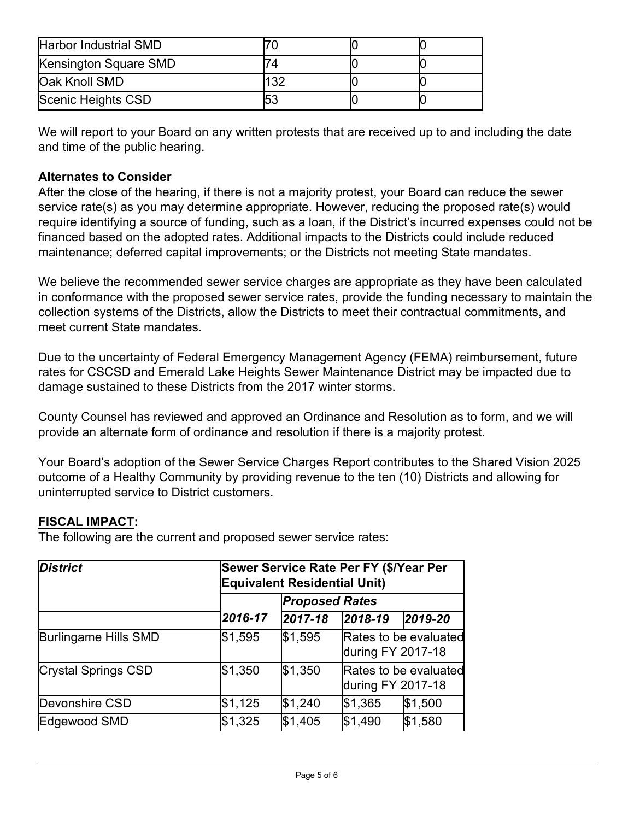| Harbor Industrial SMD |     |  |
|-----------------------|-----|--|
| Kensington Square SMD |     |  |
| Oak Knoll SMD         | 132 |  |
| Scenic Heights CSD    | 53  |  |

We will report to your Board on any written protests that are received up to and including the date and time of the public hearing.

## **Alternates to Consider**

After the close of the hearing, if there is not a majority protest, your Board can reduce the sewer service rate(s) as you may determine appropriate. However, reducing the proposed rate(s) would require identifying a source of funding, such as a loan, if the District's incurred expenses could not be financed based on the adopted rates. Additional impacts to the Districts could include reduced maintenance; deferred capital improvements; or the Districts not meeting State mandates.

We believe the recommended sewer service charges are appropriate as they have been calculated in conformance with the proposed sewer service rates, provide the funding necessary to maintain the collection systems of the Districts, allow the Districts to meet their contractual commitments, and meet current State mandates.

Due to the uncertainty of Federal Emergency Management Agency (FEMA) reimbursement, future rates for CSCSD and Emerald Lake Heights Sewer Maintenance District may be impacted due to damage sustained to these Districts from the 2017 winter storms.

County Counsel has reviewed and approved an Ordinance and Resolution as to form, and we will provide an alternate form of ordinance and resolution if there is a majority protest.

Your Board's adoption of the Sewer Service Charges Report contributes to the Shared Vision 2025 outcome of a Healthy Community by providing revenue to the ten (10) Districts and allowing for uninterrupted service to District customers.

### **FISCAL IMPACT:**

The following are the current and proposed sewer service rates:

| <b>District</b>      |         | Sewer Service Rate Per FY (\$/Year Per<br><b>Equivalent Residential Unit)</b><br><b>Proposed Rates</b> |                   |                       |
|----------------------|---------|--------------------------------------------------------------------------------------------------------|-------------------|-----------------------|
|                      |         |                                                                                                        |                   |                       |
|                      | 2016-17 | 2017-18                                                                                                | $ 2018-19$        | 2019-20               |
| Burlingame Hills SMD | \$1,595 | \$1,595                                                                                                | during FY 2017-18 | Rates to be evaluated |
| Crystal Springs CSD  | \$1,350 | \$1,350                                                                                                | during FY 2017-18 | Rates to be evaluated |
| Devonshire CSD       | \$1,125 | \$1,240                                                                                                | \$1,365           | \$1,500               |
| Edgewood SMD         | \$1,325 | \$1,405                                                                                                | \$1,490           | \$1,580               |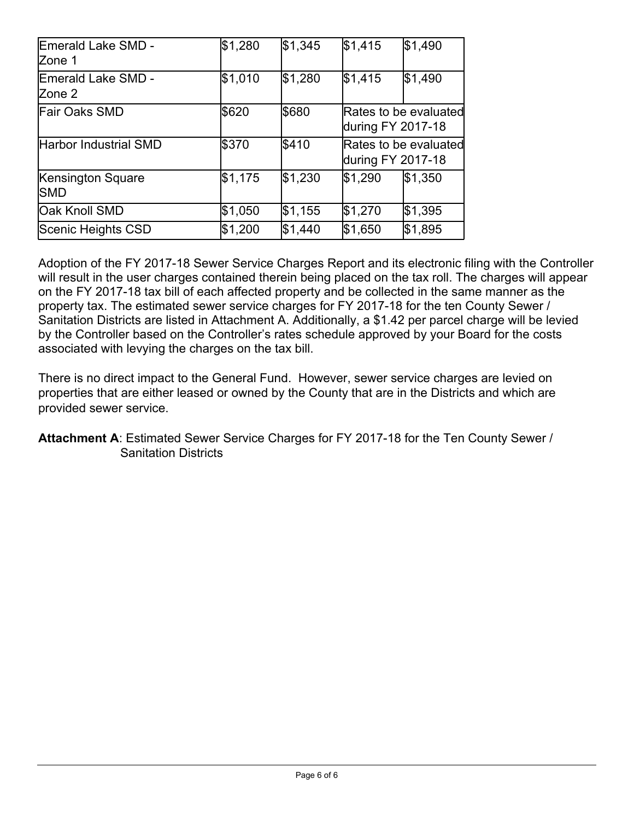| <b>IEmerald Lake SMD -</b><br>lZone 1 | \$1,280 | \$1,345 | \$1,415 | \$1,490                                    |
|---------------------------------------|---------|---------|---------|--------------------------------------------|
| lEmerald Lake SMD -<br>lZone 2        | \$1,010 | \$1,280 | \$1,415 | \$1,490                                    |
| <b>Fair Oaks SMD</b>                  | \$620   | \$680   |         | Rates to be evaluated<br>during FY 2017-18 |
| <b>Harbor Industrial SMD</b>          | \$370   | \$410   |         | Rates to be evaluated<br>during FY 2017-18 |
| Kensington Square<br>ISMD             | \$1,175 | \$1,230 | \$1,290 | \$1,350                                    |
| Oak Knoll SMD                         | \$1,050 | \$1,155 | \$1,270 | \$1,395                                    |
| Scenic Heights CSD                    | \$1,200 | \$1,440 | \$1,650 | \$1,895                                    |

Adoption of the FY 2017-18 Sewer Service Charges Report and its electronic filing with the Controller will result in the user charges contained therein being placed on the tax roll. The charges will appear on the FY 2017-18 tax bill of each affected property and be collected in the same manner as the property tax. The estimated sewer service charges for FY 2017-18 for the ten County Sewer / Sanitation Districts are listed in Attachment A. Additionally, a \$1.42 per parcel charge will be levied by the Controller based on the Controller's rates schedule approved by your Board for the costs associated with levying the charges on the tax bill.

There is no direct impact to the General Fund. However, sewer service charges are levied on properties that are either leased or owned by the County that are in the Districts and which are provided sewer service.

**Attachment A**: Estimated Sewer Service Charges for FY 2017-18 for the Ten County Sewer / Sanitation Districts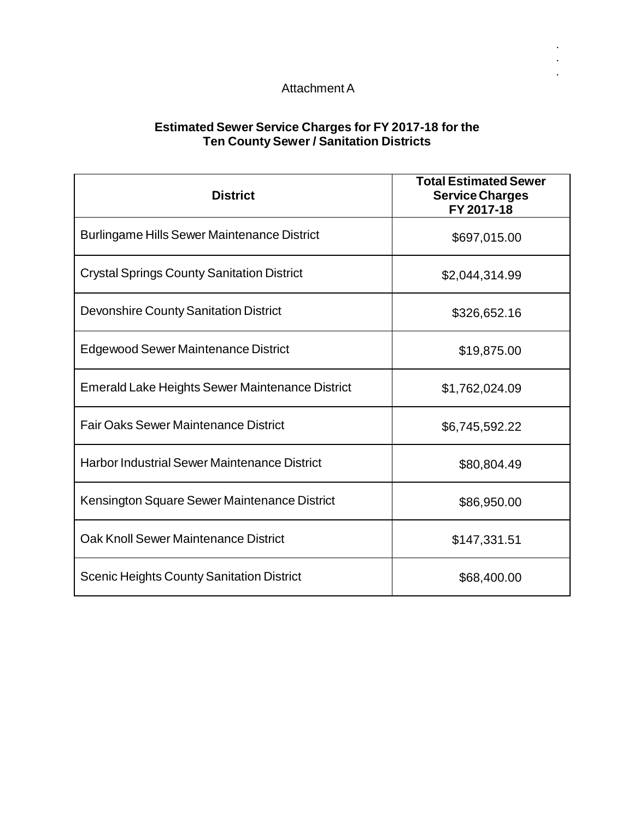## AttachmentA

. . .

### **Estimated Sewer Service Charges for FY 2017-18 for the Ten County Sewer / Sanitation Districts**

| <b>District</b>                                        | <b>Total Estimated Sewer</b><br><b>Service Charges</b><br>FY 2017-18 |
|--------------------------------------------------------|----------------------------------------------------------------------|
| <b>Burlingame Hills Sewer Maintenance District</b>     | \$697,015.00                                                         |
| <b>Crystal Springs County Sanitation District</b>      | \$2,044,314.99                                                       |
| <b>Devonshire County Sanitation District</b>           | \$326,652.16                                                         |
| Edgewood Sewer Maintenance District                    | \$19,875.00                                                          |
| <b>Emerald Lake Heights Sewer Maintenance District</b> | \$1,762,024.09                                                       |
| <b>Fair Oaks Sewer Maintenance District</b>            | \$6,745,592.22                                                       |
| <b>Harbor Industrial Sewer Maintenance District</b>    | \$80,804.49                                                          |
| Kensington Square Sewer Maintenance District           | \$86,950.00                                                          |
| Oak Knoll Sewer Maintenance District                   | \$147,331.51                                                         |
| <b>Scenic Heights County Sanitation District</b>       | \$68,400.00                                                          |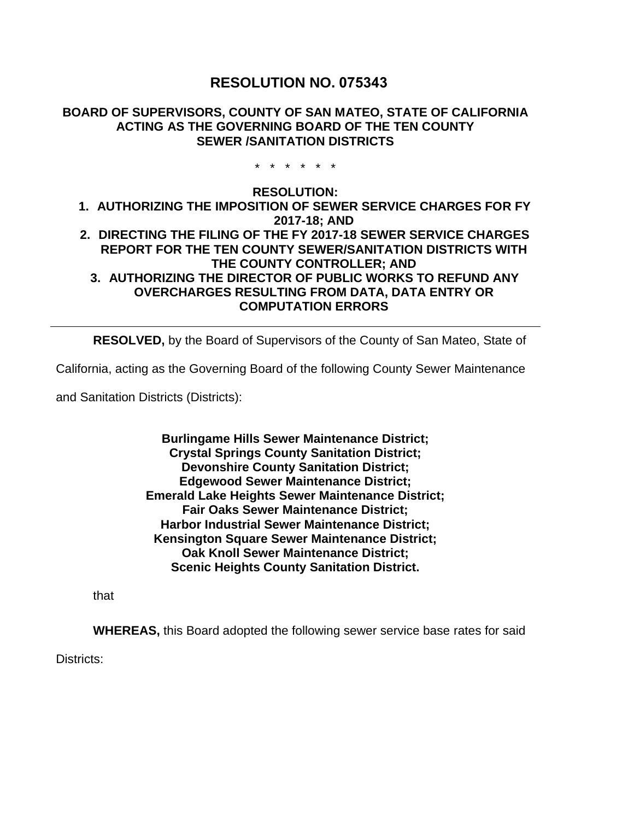## **RESOLUTION NO. 075343**

#### **BOARD OF SUPERVISORS, COUNTY OF SAN MATEO, STATE OF CALIFORNIA ACTING AS THE GOVERNING BOARD OF THE TEN COUNTY SEWER /SANITATION DISTRICTS**

\* \* \* \* \* \*

#### **RESOLUTION: 1. AUTHORIZING THE IMPOSITION OF SEWER SERVICE CHARGES FOR FY 2017-18; AND 2. DIRECTING THE FILING OF THE FY 2017-18 SEWER SERVICE CHARGES REPORT FOR THE TEN COUNTY SEWER/SANITATION DISTRICTS WITH THE COUNTY CONTROLLER; AND 3. AUTHORIZING THE DIRECTOR OF PUBLIC WORKS TO REFUND ANY OVERCHARGES RESULTING FROM DATA, DATA ENTRY OR COMPUTATION ERRORS**

**RESOLVED,** by the Board of Supervisors of the County of San Mateo, State of

California, acting as the Governing Board of the following County Sewer Maintenance

and Sanitation Districts (Districts):

**Burlingame Hills Sewer Maintenance District; Crystal Springs County Sanitation District; Devonshire County Sanitation District; Edgewood Sewer Maintenance District; Emerald Lake Heights Sewer Maintenance District; Fair Oaks Sewer Maintenance District; Harbor Industrial Sewer Maintenance District; Kensington Square Sewer Maintenance District; Oak Knoll Sewer Maintenance District; Scenic Heights County Sanitation District.**

that

**WHEREAS,** this Board adopted the following sewer service base rates for said

Districts: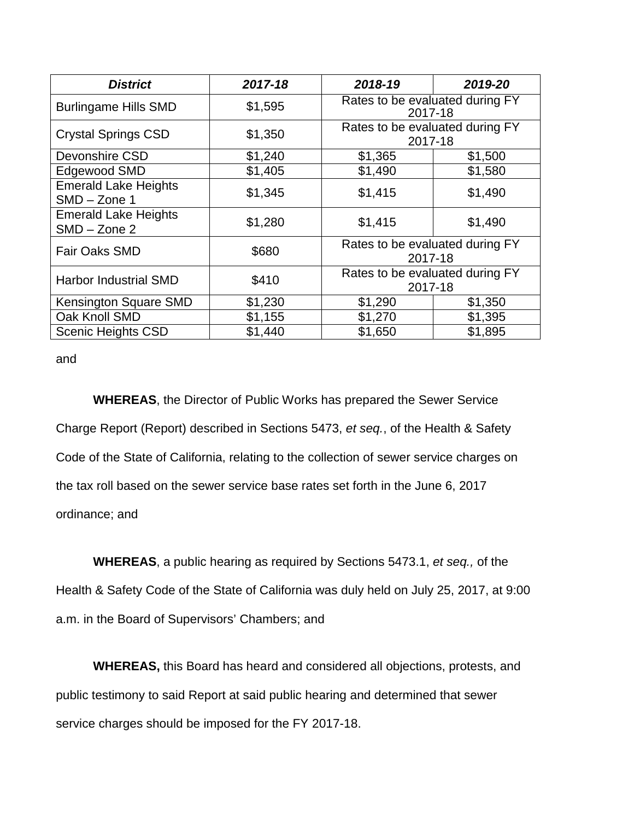| <b>District</b>                               | 2017-18 | 2018-19                                    | 2019-20 |
|-----------------------------------------------|---------|--------------------------------------------|---------|
| <b>Burlingame Hills SMD</b>                   | \$1,595 | Rates to be evaluated during FY<br>2017-18 |         |
| <b>Crystal Springs CSD</b>                    | \$1,350 | Rates to be evaluated during FY<br>2017-18 |         |
| Devonshire CSD                                | \$1,240 | \$1,365                                    | \$1,500 |
| Edgewood SMD                                  | \$1,405 | \$1,490                                    | \$1,580 |
| <b>Emerald Lake Heights</b><br>SMD - Zone 1   | \$1,345 | \$1,415                                    | \$1,490 |
| <b>Emerald Lake Heights</b><br>$SMD - Zone 2$ | \$1,280 | \$1,415                                    | \$1,490 |
| <b>Fair Oaks SMD</b>                          | \$680   | Rates to be evaluated during FY<br>2017-18 |         |
| Harbor Industrial SMD                         | \$410   | Rates to be evaluated during FY<br>2017-18 |         |
| Kensington Square SMD                         | \$1,230 | \$1,290                                    | \$1,350 |
| Oak Knoll SMD                                 | \$1,155 | \$1,270                                    | \$1,395 |
| <b>Scenic Heights CSD</b>                     | \$1,440 | \$1,650                                    | \$1,895 |

and

**WHEREAS**, the Director of Public Works has prepared the Sewer Service Charge Report (Report) described in Sections 5473, *et seq.*, of the Health & Safety Code of the State of California, relating to the collection of sewer service charges on the tax roll based on the sewer service base rates set forth in the June 6, 2017 ordinance; and

**WHEREAS**, a public hearing as required by Sections 5473.1, *et seq.,* of the Health & Safety Code of the State of California was duly held on July 25, 2017, at 9:00 a.m. in the Board of Supervisors' Chambers; and

**WHEREAS,** this Board has heard and considered all objections, protests, and public testimony to said Report at said public hearing and determined that sewer service charges should be imposed for the FY 2017-18.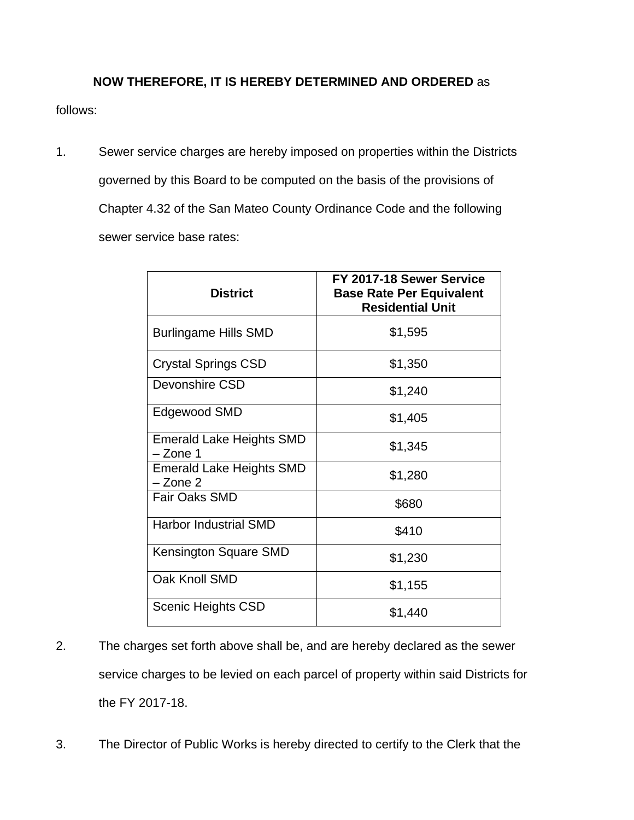## **NOW THEREFORE, IT IS HEREBY DETERMINED AND ORDERED** as

follows:

1. Sewer service charges are hereby imposed on properties within the Districts governed by this Board to be computed on the basis of the provisions of Chapter 4.32 of the San Mateo County Ordinance Code and the following sewer service base rates:

| <b>District</b>                             | FY 2017-18 Sewer Service<br><b>Base Rate Per Equivalent</b><br><b>Residential Unit</b> |
|---------------------------------------------|----------------------------------------------------------------------------------------|
| <b>Burlingame Hills SMD</b>                 | \$1,595                                                                                |
| <b>Crystal Springs CSD</b>                  | \$1,350                                                                                |
| Devonshire CSD                              | \$1,240                                                                                |
| Edgewood SMD                                | \$1,405                                                                                |
| <b>Emerald Lake Heights SMD</b><br>- Zone 1 | \$1,345                                                                                |
| <b>Emerald Lake Heights SMD</b><br>- Zone 2 | \$1,280                                                                                |
| <b>Fair Oaks SMD</b>                        | \$680                                                                                  |
| <b>Harbor Industrial SMD</b>                | \$410                                                                                  |
| Kensington Square SMD                       | \$1,230                                                                                |
| Oak Knoll SMD                               | \$1,155                                                                                |
| <b>Scenic Heights CSD</b>                   | \$1,440                                                                                |

- 2. The charges set forth above shall be, and are hereby declared as the sewer service charges to be levied on each parcel of property within said Districts for the FY 2017-18.
- 3. The Director of Public Works is hereby directed to certify to the Clerk that the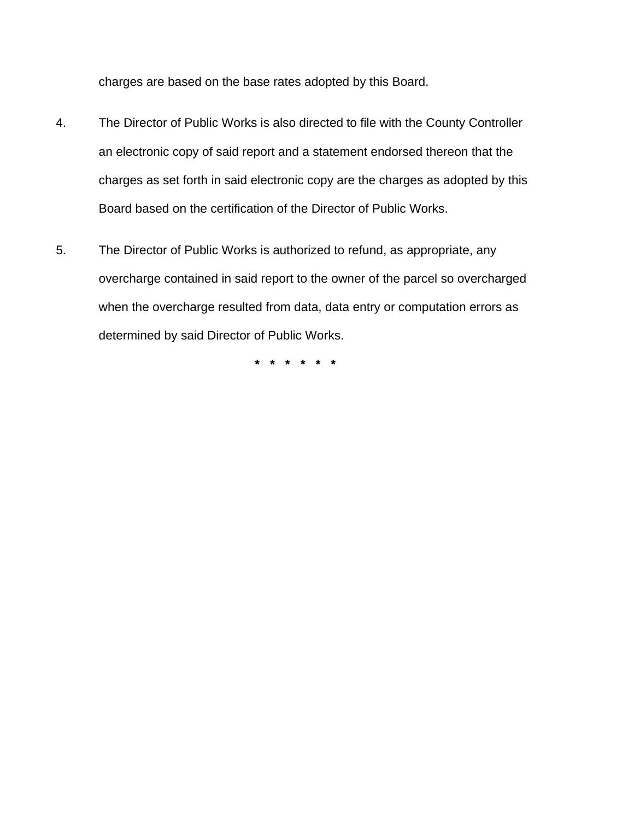charges are based on the base rates adopted by this Board.

- 4. The Director of Public Works is also directed to file with the County Controller an electronic copy of said report and a statement endorsed thereon that the charges as set forth in said electronic copy are the charges as adopted by this Board based on the certification of the Director of Public Works.
- 5. The Director of Public Works is authorized to refund, as appropriate, any overcharge contained in said report to the owner of the parcel so overcharged when the overcharge resulted from data, data entry or computation errors as determined by said Director of Public Works.

**\* \* \* \* \* \***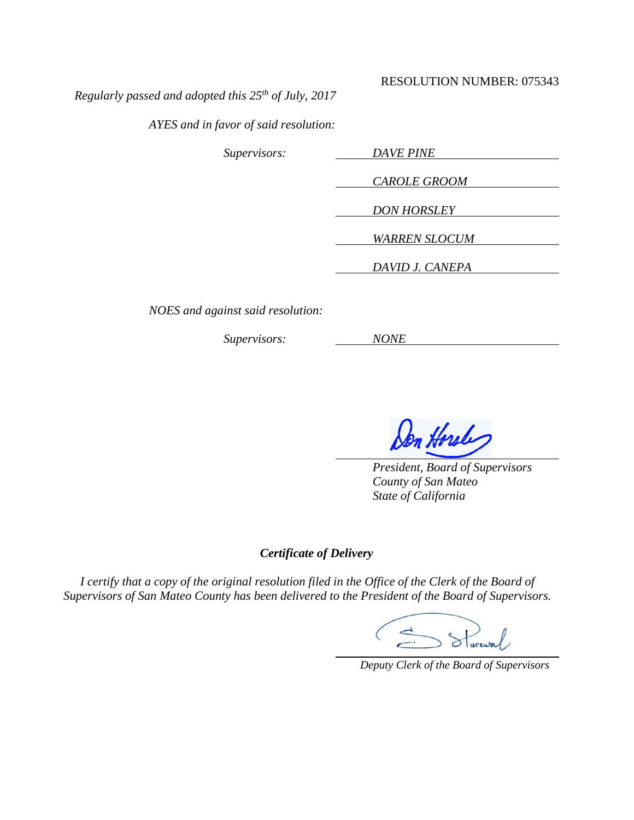#### RESOLUTION NUMBER: 075343

*Regularly passed and adopted this 25th of July, 2017*

*AYES and in favor of said resolution:*

*Supervisors: DAVE PINE CAROLE GROOM DON HORSLEY WARREN SLOCUM DAVID J. CANEPA*

*NOES and against said resolution:*

*Supervisors: NONE*

m Horsley

*President, Board of Supervisors County of San Mateo State of California*

#### *Certificate of Delivery*

*I certify that a copy of the original resolution filed in the Office of the Clerk of the Board of Supervisors of San Mateo County has been delivered to the President of the Board of Supervisors.*

 $>$  Stureway

 *Deputy Clerk of the Board of Supervisors*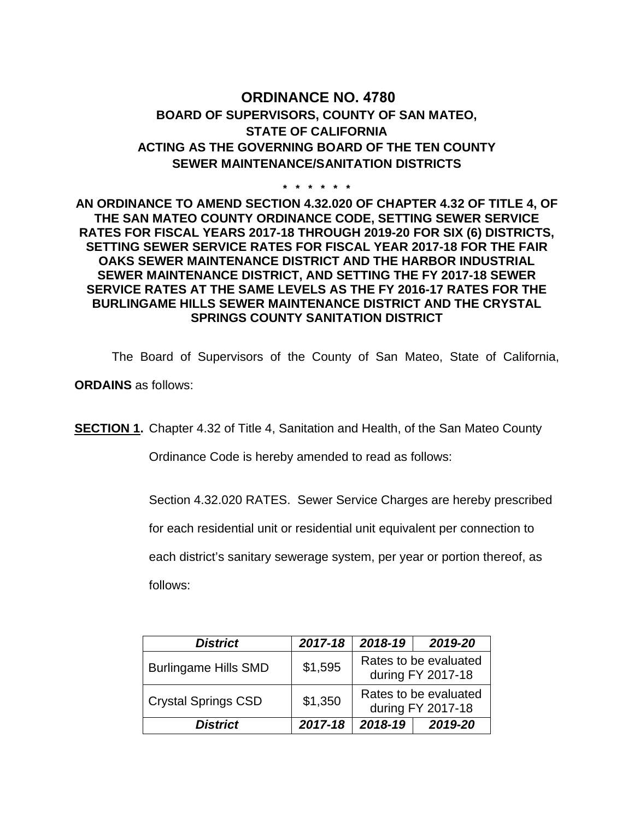# **ORDINANCE NO. 4780 BOARD OF SUPERVISORS, COUNTY OF SAN MATEO, STATE OF CALIFORNIA ACTING AS THE GOVERNING BOARD OF THE TEN COUNTY SEWER MAINTENANCE/SANITATION DISTRICTS**

**\* \* \* \* \* \***

### **AN ORDINANCE TO AMEND SECTION 4.32.020 OF CHAPTER 4.32 OF TITLE 4, OF THE SAN MATEO COUNTY ORDINANCE CODE, SETTING SEWER SERVICE RATES FOR FISCAL YEARS 2017-18 THROUGH 2019-20 FOR SIX (6) DISTRICTS, SETTING SEWER SERVICE RATES FOR FISCAL YEAR 2017-18 FOR THE FAIR OAKS SEWER MAINTENANCE DISTRICT AND THE HARBOR INDUSTRIAL SEWER MAINTENANCE DISTRICT, AND SETTING THE FY 2017-18 SEWER SERVICE RATES AT THE SAME LEVELS AS THE FY 2016-17 RATES FOR THE BURLINGAME HILLS SEWER MAINTENANCE DISTRICT AND THE CRYSTAL SPRINGS COUNTY SANITATION DISTRICT**

The Board of Supervisors of the County of San Mateo, State of California,

**ORDAINS** as follows:

**SECTION 1.** Chapter 4.32 of Title 4, Sanitation and Health, of the San Mateo County

Ordinance Code is hereby amended to read as follows:

Section 4.32.020 RATES. Sewer Service Charges are hereby prescribed

for each residential unit or residential unit equivalent per connection to

each district's sanitary sewerage system, per year or portion thereof, as

follows:

| <b>District</b>             | 2017-18 | 2018-19 | 2019-20                                    |
|-----------------------------|---------|---------|--------------------------------------------|
| <b>Burlingame Hills SMD</b> | \$1,595 |         | Rates to be evaluated<br>during FY 2017-18 |
| <b>Crystal Springs CSD</b>  | \$1,350 |         | Rates to be evaluated<br>during FY 2017-18 |
| <b>District</b>             | 2017-18 | 2018-19 | 2019-20                                    |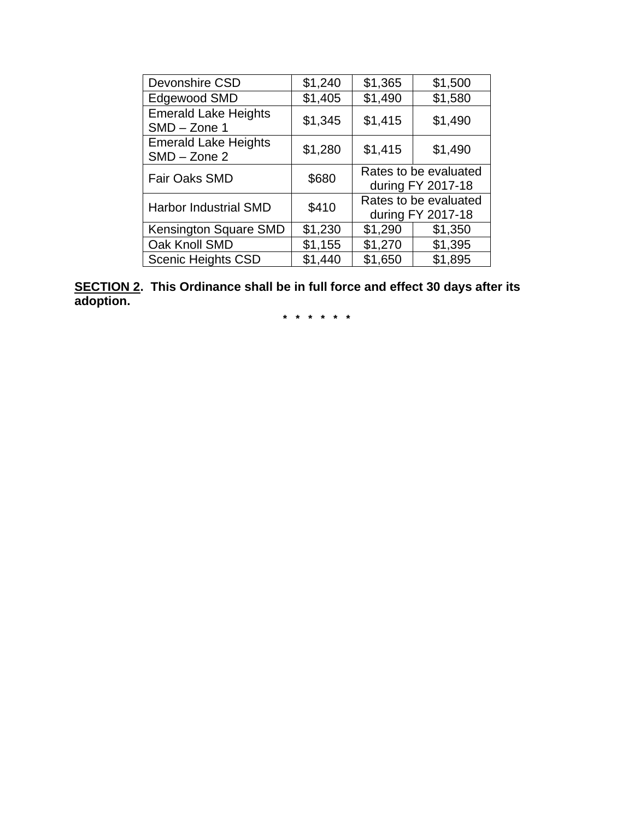| Devonshire CSD                                | \$1,240 | \$1,365                                    | \$1,500                                    |
|-----------------------------------------------|---------|--------------------------------------------|--------------------------------------------|
| Edgewood SMD                                  | \$1,405 | \$1,490                                    | \$1,580                                    |
| <b>Emerald Lake Heights</b><br>$SMD - Zone 1$ | \$1,345 | \$1,415                                    | \$1,490                                    |
| <b>Emerald Lake Heights</b><br>$SMD - Zone$ 2 | \$1,280 | \$1,415                                    | \$1,490                                    |
| <b>Fair Oaks SMD</b>                          | \$680   |                                            | Rates to be evaluated<br>during FY 2017-18 |
| <b>Harbor Industrial SMD</b>                  | \$410   | Rates to be evaluated<br>during FY 2017-18 |                                            |
| Kensington Square SMD                         | \$1,230 | \$1,290                                    | \$1,350                                    |
| Oak Knoll SMD                                 | \$1,155 | \$1,270                                    | \$1,395                                    |
| <b>Scenic Heights CSD</b>                     | \$1,440 | \$1,650                                    | \$1,895                                    |

**SECTION 2. This Ordinance shall be in full force and effect 30 days after its adoption.**

**\* \* \* \* \* \***